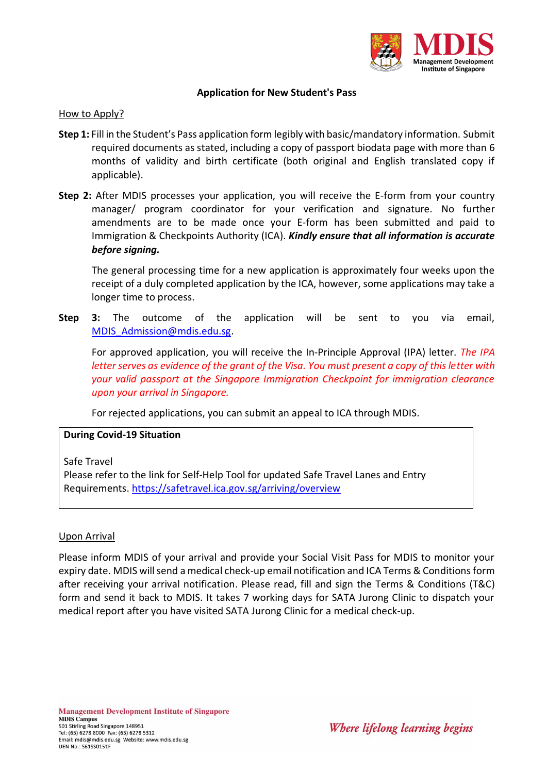

### **Application for New Student's Pass**

#### How to Apply?

- **Step 1:** Fill in the Student's Pass application form legibly with basic/mandatory information. Submit required documents as stated, including a copy of passport biodata page with more than 6 months of validity and birth certificate (both original and English translated copy if applicable).
- **Step 2:** After MDIS processes your application, you will receive the E-form from your country manager/ program coordinator for your verification and signature. No further amendments are to be made once your E-form has been submitted and paid to Immigration & Checkpoints Authority (ICA). *Kindly ensure that all information is accurate before signing.*

The general processing time for a new application is approximately four weeks upon the receipt of a duly completed application by the ICA, however, some applications may take a longer time to process.

**Step 3:** The outcome of the application will be sent to you via email, [MDIS\\_Admission@mdis.edu.sg.](mailto:MDIS_Admission@mdis.edu.sg)

For approved application, you will receive the In-Principle Approval (IPA) letter. *The IPA letter serves as evidence of the grant of the Visa. You must present a copy of this letter with your valid passport at the Singapore Immigration Checkpoint for immigration clearance upon your arrival in Singapore.*

For rejected applications, you can submit an appeal to ICA through MDIS.

### **During Covid-19 Situation**

Safe Travel

Please refer to the link for Self-Help Tool for updated Safe Travel Lanes and Entry Requirements. <https://safetravel.ica.gov.sg/arriving/overview>

### Upon Arrival

Please inform MDIS of your arrival and provide your Social Visit Pass for MDIS to monitor your expiry date. MDIS will send a medical check-up email notification and ICA Terms & Conditionsform after receiving your arrival notification. Please read, fill and sign the Terms & Conditions (T&C) form and send it back to MDIS. It takes 7 working days for SATA Jurong Clinic to dispatch your medical report after you have visited SATA Jurong Clinic for a medical check-up.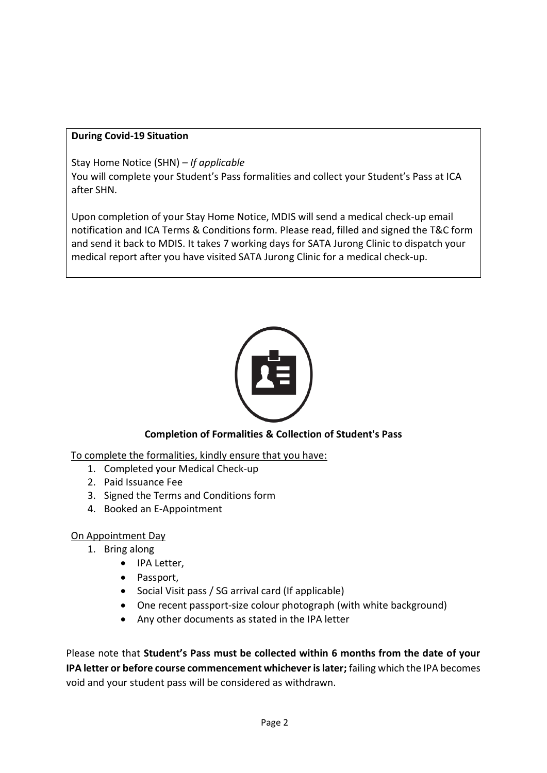## **During Covid-19 Situation**

Stay Home Notice (SHN) *– If applicable*

You will complete your Student's Pass formalities and collect your Student's Pass at ICA after SHN.

Upon completion of your Stay Home Notice, MDIS will send a medical check-up email notification and ICA Terms & Conditions form. Please read, filled and signed the T&C form and send it back to MDIS. It takes 7 working days for SATA Jurong Clinic to dispatch your medical report after you have visited SATA Jurong Clinic for a medical check-up.



# **Completion of Formalities & Collection of Student's Pass**

To complete the formalities, kindly ensure that you have:

- 1. Completed your Medical Check-up
- 2. Paid Issuance Fee
- 3. Signed the Terms and Conditions form
- 4. Booked an E-Appointment

# On Appointment Day

- 1. Bring along
	- IPA Letter,
	- Passport,
	- Social Visit pass / SG arrival card (If applicable)
	- One recent passport-size colour photograph (with white background)
	- Any other documents as stated in the IPA letter

Please note that **Student's Pass must be collected within 6 months from the date of your IPA letter or before course commencement whichever is later;** failing which the IPA becomes void and your student pass will be considered as withdrawn.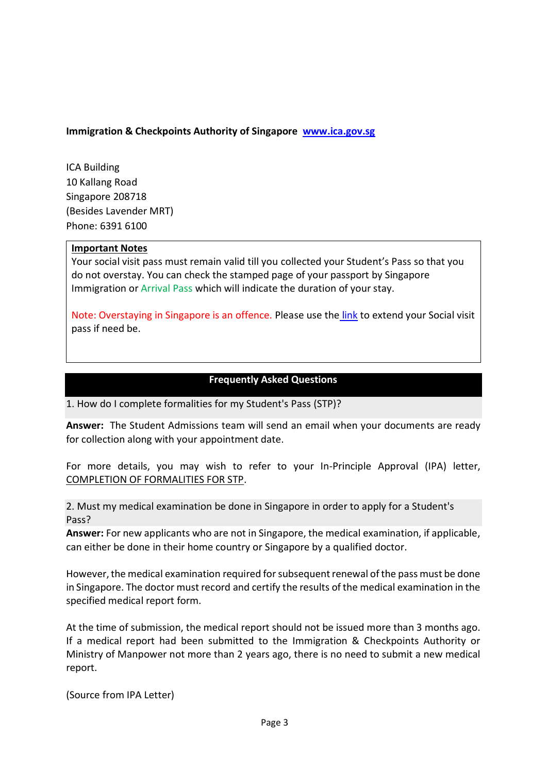### **Immigration & Checkpoints Authority of Singapore [www.ica.gov.sg](http://www.ica.gov.sg/)**

ICA Building 10 Kallang Road Singapore 208718 (Besides Lavender MRT) Phone: 6391 6100

### **Important Notes**

Your social visit pass must remain valid till you collected your Student's Pass so that you do not overstay. You can check the stamped page of your passport by Singapore Immigration or Arrival Pass which will indicate the duration of your stay.

Note: Overstaying in Singapore is an offence. Please use the [link](https://eservices.ica.gov.sg/esvclandingpage/extend) to extend your Social visit pass if need be.

### **Frequently Asked Questions**

1. How do I complete formalities for my Student's Pass (STP)?

**Answer:** The Student Admissions team will send an email when your documents are ready for collection along with your appointment date.

For more details, you may wish to refer to your In-Principle Approval (IPA) letter, COMPLETION OF FORMALITIES FOR STP.

2. Must my medical examination be done in Singapore in order to apply for a Student's Pass?

**Answer:** For new applicants who are not in Singapore, the medical examination, if applicable, can either be done in their home country or Singapore by a qualified doctor.

However, the medical examination required for subsequent renewal of the pass must be done in Singapore. The doctor must record and certify the results of the medical examination in the specified medical report form.

At the time of submission, the medical report should not be issued more than 3 months ago. If a medical report had been submitted to the Immigration & Checkpoints Authority or Ministry of Manpower not more than 2 years ago, there is no need to submit a new medical report.

(Source from IPA Letter)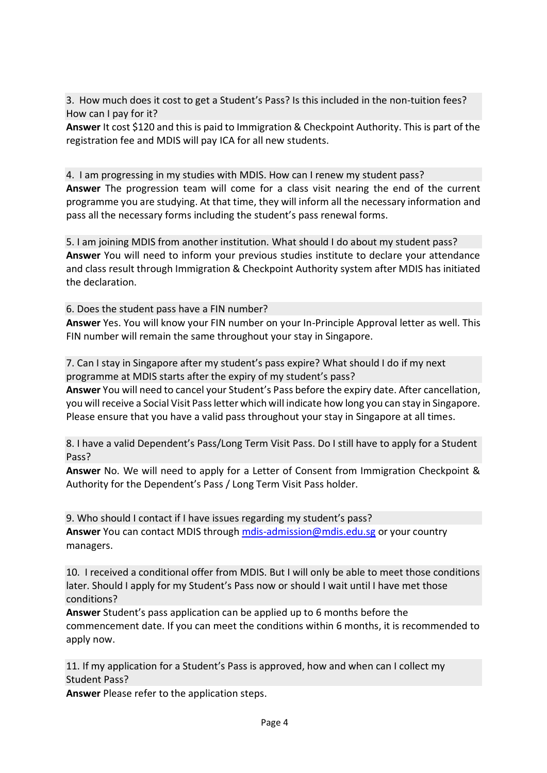3. How much does it cost to get a Student's Pass? Is this included in the non-tuition fees? How can I pay for it?

**Answer** It cost \$120 and this is paid to Immigration & Checkpoint Authority. This is part of the registration fee and MDIS will pay ICA for all new students.

4. I am progressing in my studies with MDIS. How can I renew my student pass? **Answer** The progression team will come for a class visit nearing the end of the current programme you are studying. At that time, they will inform all the necessary information and pass all the necessary forms including the student's pass renewal forms.

5. I am joining MDIS from another institution. What should I do about my student pass? **Answer** You will need to inform your previous studies institute to declare your attendance and class result through Immigration & Checkpoint Authority system after MDIS has initiated the declaration.

6. Does the student pass have a FIN number?

**Answer** Yes. You will know your FIN number on your In-Principle Approval letter as well. This FIN number will remain the same throughout your stay in Singapore.

7. Can I stay in Singapore after my student's pass expire? What should I do if my next programme at MDIS starts after the expiry of my student's pass?

**Answer** You will need to cancel your Student's Pass before the expiry date. After cancellation, you will receive a Social Visit Pass letter which will indicate how long you can stay in Singapore. Please ensure that you have a valid pass throughout your stay in Singapore at all times.

8. I have a valid Dependent's Pass/Long Term Visit Pass. Do I still have to apply for a Student Pass?

**Answer** No. We will need to apply for a Letter of Consent from Immigration Checkpoint & Authority for the Dependent's Pass / Long Term Visit Pass holder.

9. Who should I contact if I have issues regarding my student's pass? **Answer** You can contact MDIS through [mdis-admission@mdis.edu.sg](mailto:mdis-admission@mdis.edu.sg) or your country managers.

10. I received a conditional offer from MDIS. But I will only be able to meet those conditions later. Should I apply for my Student's Pass now or should I wait until I have met those conditions?

**Answer** Student's pass application can be applied up to 6 months before the commencement date. If you can meet the conditions within 6 months, it is recommended to apply now.

11. If my application for a Student's Pass is approved, how and when can I collect my Student Pass?

**Answer** Please refer to the application steps.